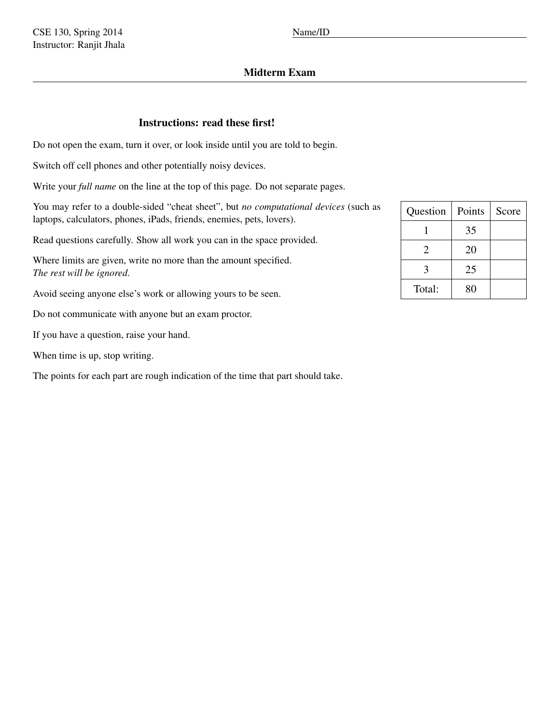# Midterm Exam

# Instructions: read these first!

Do not open the exam, turn it over, or look inside until you are told to begin.

Switch off cell phones and other potentially noisy devices.

Write your *full name* on the line at the top of this page. Do not separate pages.

You may refer to a double-sided "cheat sheet", but *no computational devices* (such as laptops, calculators, phones, iPads, friends, enemies, pets, lovers).

Read questions carefully. Show all work you can in the space provided.

Where limits are given, write no more than the amount specified. *The rest will be ignored*.

Avoid seeing anyone else's work or allowing yours to be seen.

Do not communicate with anyone but an exam proctor.

If you have a question, raise your hand.

When time is up, stop writing.

The points for each part are rough indication of the time that part should take.

| Question              | Points | Score |
|-----------------------|--------|-------|
|                       | 35     |       |
| $\mathcal{D}_{\cdot}$ | 20     |       |
| 3                     | 25     |       |
| Total:                | 80     |       |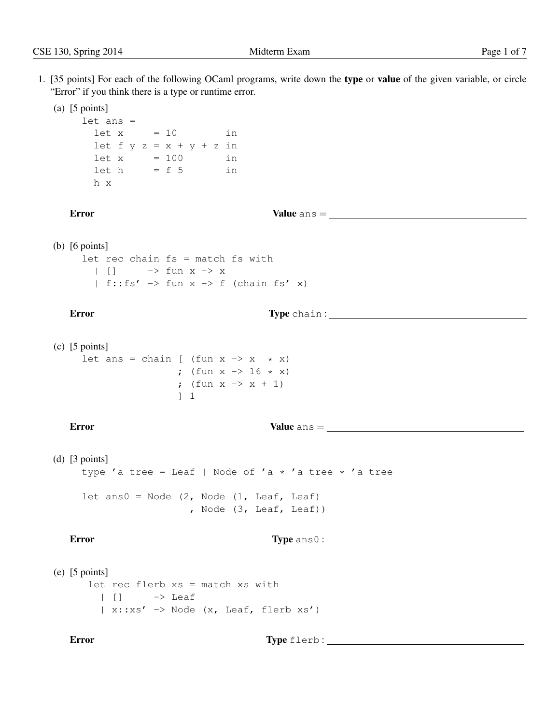- 
- 1. [35 points] For each of the following OCaml programs, write down the type or value of the given variable, or circle "Error" if you think there is a type or runtime error.

```
(a) [5 points]
     let ans =
       let x = 10 in
        let f y z = x + y + z in
        let x = 100 in
        \begin{array}{rcl} \text{let } h & = f 5 & \text{in} \end{array}h x
```
Error Value ans =

(b) [6 points]

let rec chain fs = match fs with |  $|$  |  $\rightarrow$  fun x  $\rightarrow$  x | f::fs'  $\rightarrow$  fun x  $\rightarrow$  f (chain fs' x)

Error Type chain : Type chain : Type chain : Type chain : Type chain : Type chain : Type chain : Type chain : Type chain : Type chain : Type chain : Type chain : Type chain : Type chain : Type chain : Type chain : Type cha

(c) [5 points] let ans = chain [ (fun  $x \rightarrow x * x$ ) ; (fun  $x \to 16 \star x$ ) ; (fun  $x \to x + 1$ ) ] 1

Error Value ans =

(d) [3 points] type 'a tree = Leaf | Node of 'a  $\star$  'a tree  $\star$  'a tree let ans $0 =$  Node  $(2,$  Node  $(1,$  Leaf, Leaf) , Node (3, Leaf, Leaf))

Error Type ans 0 :

(e) [5 points] let rec flerb xs = match xs with  $| |$   $|$   $\rightarrow$  Leaf  $| x::xs' \rightarrow Node (x, leaf, flerb xs')$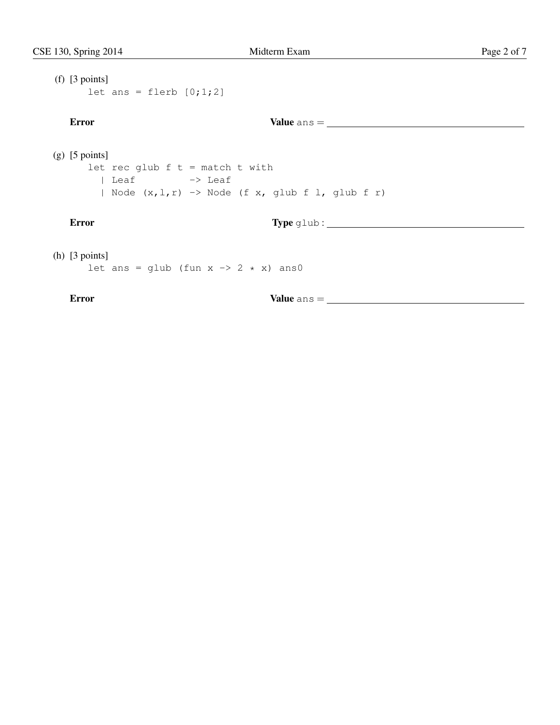```
(f) [3 points]
   let ans = flerb [0;1;2]Error Value ans =
(g) [5 points]
   let rec glub f t = match t with
    | Leaf -> Leaf
    | Node (x, l, r) -> Node (f x, glub f l, glub f r)
 Error Type glub :
(h) [3 points]
   let ans = glub (fun x \rightarrow 2 \times x) ans0
 Error Value ans =
```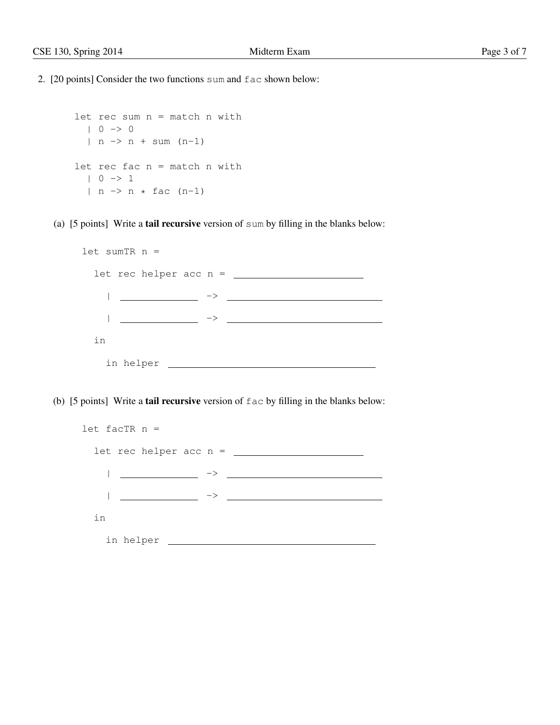2. [20 points] Consider the two functions sum and fac shown below:

```
let rec sum n = match n with
  | 0 \rightarrow 0| n \rightarrow n + \text{sum} (n-1)let rec fac n = match n with
  | 0 \rightarrow 1| n \rightarrow n * fac (n-1)
```
(a) [5 points] Write a tail recursive version of sum by filling in the blanks below:

```
let sumTR n =
let rec helper acc n =
 | ->
 | ->
in
 in helper
```
(b) [5 points] Write a tail recursive version of fac by filling in the blanks below:

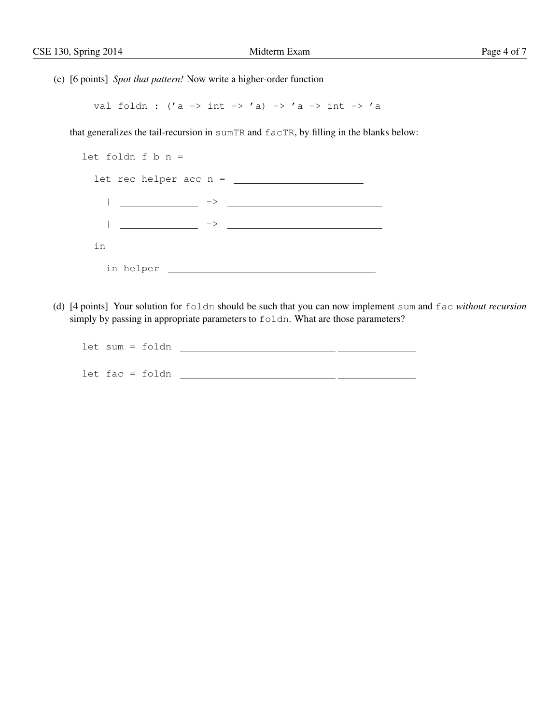(c) [6 points] *Spot that pattern!* Now write a higher-order function

val foldn : ('a -> int -> 'a) -> 'a -> int -> 'a

that generalizes the tail-recursion in sumTR and facTR, by filling in the blanks below:

| let foldn f $b$ n =           |               |
|-------------------------------|---------------|
| $let$ rec helper acc n = $\_$ |               |
|                               | $\rightarrow$ |
|                               |               |
| in                            |               |
| in helper                     |               |

(d) [4 points] Your solution for foldn should be such that you can now implement sum and fac *without recursion* simply by passing in appropriate parameters to foldn. What are those parameters?

| let sum = foldn   |  |  |
|-------------------|--|--|
|                   |  |  |
| $let fac = foldn$ |  |  |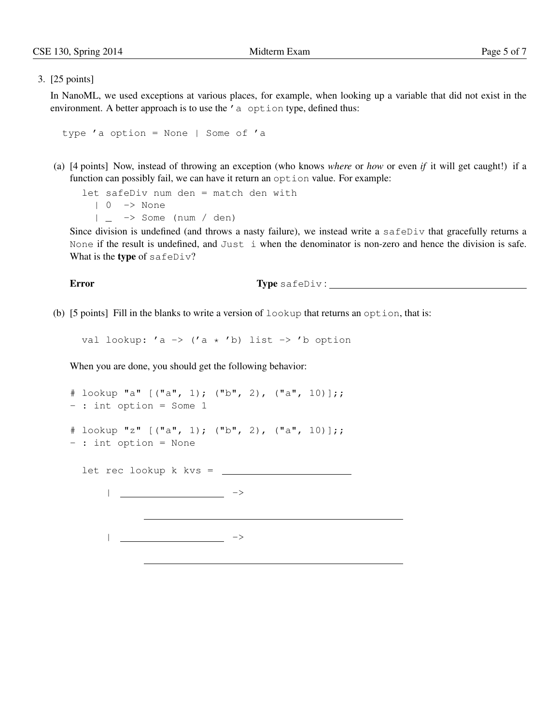### 3. [25 points]

In NanoML, we used exceptions at various places, for example, when looking up a variable that did not exist in the environment. A better approach is to use the 'a option type, defined thus:

```
type 'a option = None | Some of 'a
```
(a) [4 points] Now, instead of throwing an exception (who knows *where* or *how* or even *if* it will get caught!) if a function can possibly fail, we can have it return an option value. For example:

```
let safeDiv num den = match den with
  | 0 -> None
  | -> Some (num / den)
```
Since division is undefined (and throws a nasty failure), we instead write a safeDiv that gracefully returns a None if the result is undefined, and Just i when the denominator is non-zero and hence the division is safe. What is the type of safeDiv?

**Error** Type safeDiv :

(b)  $[5 \text{ points}]$  Fill in the blanks to write a version of  $l$ ookup that returns an option, that is:

val lookup: 'a  $\rightarrow$  ('a  $*$  'b) list  $\rightarrow$  'b option

When you are done, you should get the following behavior:

```
# lookup "a" [("a", 1); ("b", 2), ("a", 10)];;
- : int option = Some 1
# lookup "z" [("a", 1); ("b", 2), ("a", 10)];;
- : int option = None
 let rec lookup k kvs =
    || ->
```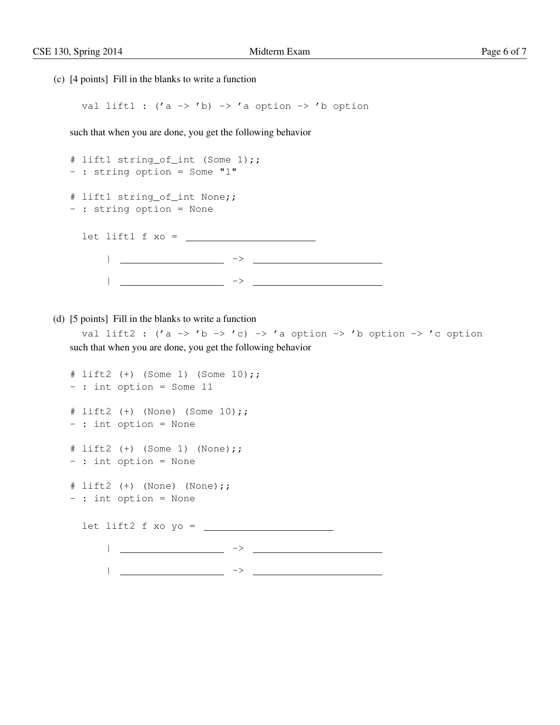(c) [4 points] Fill in the blanks to write a function

val lift1 :  $('a \rightarrow 'b) \rightarrow 'a$  option  $\rightarrow 'b$  option

such that when you are done, you get the following behavior

```
# lift1 string_of_int (Some 1);;
- : string option = Some "1"
# lift1 string_of_int None;;
- : string option = None
 let lift1 f xo =
   | ->
   | ->
```
(d) [5 points] Fill in the blanks to write a function

val lift2 : ('a -> 'b -> 'c) -> 'a option -> 'b option -> 'c option such that when you are done, you get the following behavior

```
# lift2 (+) (Some 1) (Some 10);;
- : int option = Some 11
# lift2 (+) (None) (Some 10);;
- : int option = None
# lift2 (+) (Some 1) (None);;
- : int option = None
# lift2 (+) (None) (None);;
- : int option = None
 let lift2 f xo yo =
    | ->
    | ->
```